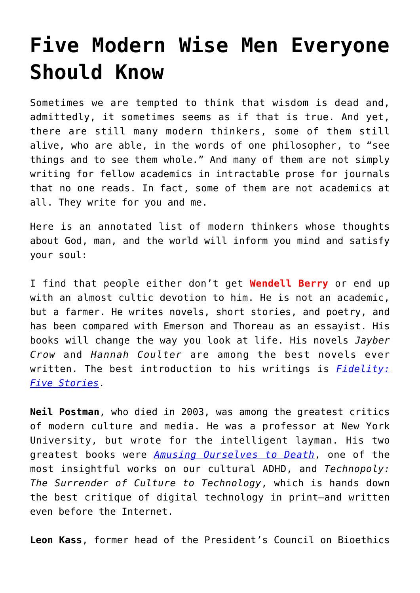## **[Five Modern Wise Men Everyone](https://intellectualtakeout.org/2018/11/five-modern-wise-men-everyone-should-know/) [Should Know](https://intellectualtakeout.org/2018/11/five-modern-wise-men-everyone-should-know/)**

Sometimes we are tempted to think that wisdom is dead and, admittedly, it sometimes seems as if that is true. And yet, there are still many modern thinkers, some of them still alive, who are able, in the words of one philosopher, to "see things and to see them whole." And many of them are not simply writing for fellow academics in intractable prose for journals that no one reads. In fact, some of them are not academics at all. They write for you and me.

Here is an annotated list of modern thinkers whose thoughts about God, man, and the world will inform you mind and satisfy your soul:

I find that people either don't get **Wendell Berry** or end up with an almost cultic devotion to him. He is not an academic, but a farmer. He writes novels, short stories, and poetry, and has been compared with Emerson and Thoreau as an essayist. His books will change the way you look at life. His novels *Jayber Crow* and *Hannah Coulter* are among the best novels ever written. The best introduction to his writings is *[Fidelity:](https://www.amazon.com/gp/product/1640090754/ref=as_li_qf_asin_il_tl?ie=UTF8&tag=intelltakeo0d-20&creative=9325&linkCode=as2&creativeASIN=1640090754&linkId=99276491d84b8cbf916d74ae789d95c5) [Five Stories](https://www.amazon.com/gp/product/1640090754/ref=as_li_qf_asin_il_tl?ie=UTF8&tag=intelltakeo0d-20&creative=9325&linkCode=as2&creativeASIN=1640090754&linkId=99276491d84b8cbf916d74ae789d95c5)*.

**Neil Postman**, who died in 2003, was among the greatest critics of modern culture and media. He was a professor at New York University, but wrote for the intelligent layman. His two greatest books were *[Amusing Ourselves to Death](https://www.amazon.com/gp/product/014303653X/ref=as_li_qf_asin_il_tl?ie=UTF8&tag=intelltakeo0d-20&creative=9325&linkCode=as2&creativeASIN=014303653X&linkId=f9744e81ada522461ee762574cf17059)*, one of the most insightful works on our cultural ADHD, and *Technopoly: The Surrender of Culture to Technology*, which is hands down the best critique of digital technology in print–and written even before the Internet.

**Leon Kass**, former head of the President's Council on Bioethics